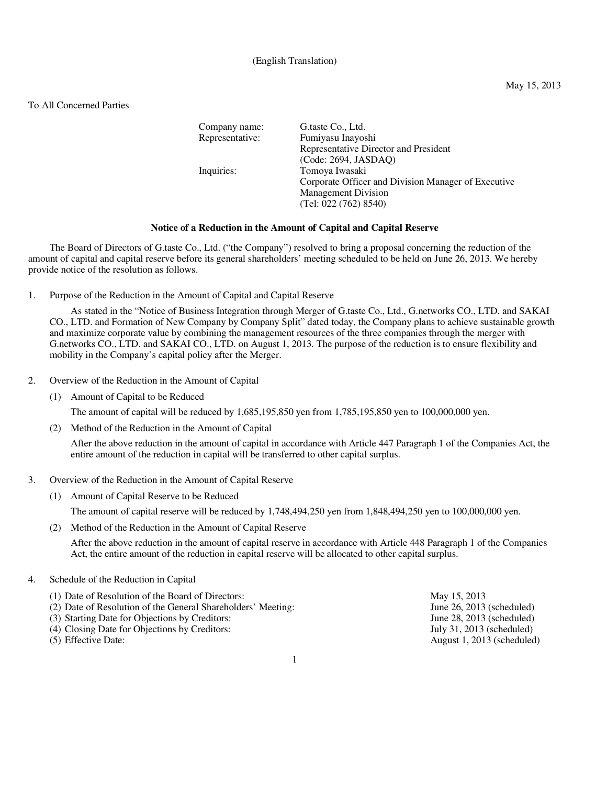### (English Translation)

#### May 15, 2013

# To All Concerned Parties

| Company name:   | G.taste Co., Ltd.                                   |
|-----------------|-----------------------------------------------------|
| Representative: | Fumiyasu Inayoshi                                   |
|                 | Representative Director and President               |
|                 | (Code: 2694, JASDAO)                                |
| Inquiries:      | Tomoya Iwasaki                                      |
|                 | Corporate Officer and Division Manager of Executive |
|                 | <b>Management Division</b>                          |
|                 | (Tel: 022 (762) 8540)                               |

## **Notice of a Reduction in the Amount of Capital and Capital Reserve**

The Board of Directors of G.taste Co., Ltd. ("the Company") resolved to bring a proposal concerning the reduction of the amount of capital and capital reserve before its general shareholders' meeting scheduled to be held on June 26, 2013. We hereby provide notice of the resolution as follows.

1. Purpose of the Reduction in the Amount of Capital and Capital Reserve

As stated in the "Notice of Business Integration through Merger of G.taste Co., Ltd., G.networks CO., LTD. and SAKAI CO., LTD. and Formation of New Company by Company Split" dated today, the Company plans to achieve sustainable growth and maximize corporate value by combining the management resources of the three companies through the merger with G.networks CO., LTD. and SAKAI CO., LTD. on August 1, 2013. The purpose of the reduction is to ensure flexibility and mobility in the Company's capital policy after the Merger.

- 2. Overview of the Reduction in the Amount of Capital
	- (1) Amount of Capital to be Reduced

The amount of capital will be reduced by 1,685,195,850 yen from 1,785,195,850 yen to 100,000,000 yen.

(2) Method of the Reduction in the Amount of Capital

After the above reduction in the amount of capital in accordance with Article 447 Paragraph 1 of the Companies Act, the entire amount of the reduction in capital will be transferred to other capital surplus.

- 3. Overview of the Reduction in the Amount of Capital Reserve
	- (1) Amount of Capital Reserve to be Reduced

The amount of capital reserve will be reduced by 1,748,494,250 yen from 1,848,494,250 yen to 100,000,000 yen.

(2) Method of the Reduction in the Amount of Capital Reserve

After the above reduction in the amount of capital reserve in accordance with Article 448 Paragraph 1 of the Companies Act, the entire amount of the reduction in capital reserve will be allocated to other capital surplus.

### 4. Schedule of the Reduction in Capital

| (1) Date of Resolution of the Board of Directors:            | May 15, 2013                   |
|--------------------------------------------------------------|--------------------------------|
| (2) Date of Resolution of the General Shareholders' Meeting: | June $26$ , $2013$ (scheduled) |
| (3) Starting Date for Objections by Creditors:               | June $28$ , $2013$ (scheduled) |
| (4) Closing Date for Objections by Creditors:                | July 31, 2013 (scheduled)      |
| (5) Effective Date:                                          | August 1, 2013 (scheduled)     |
|                                                              |                                |